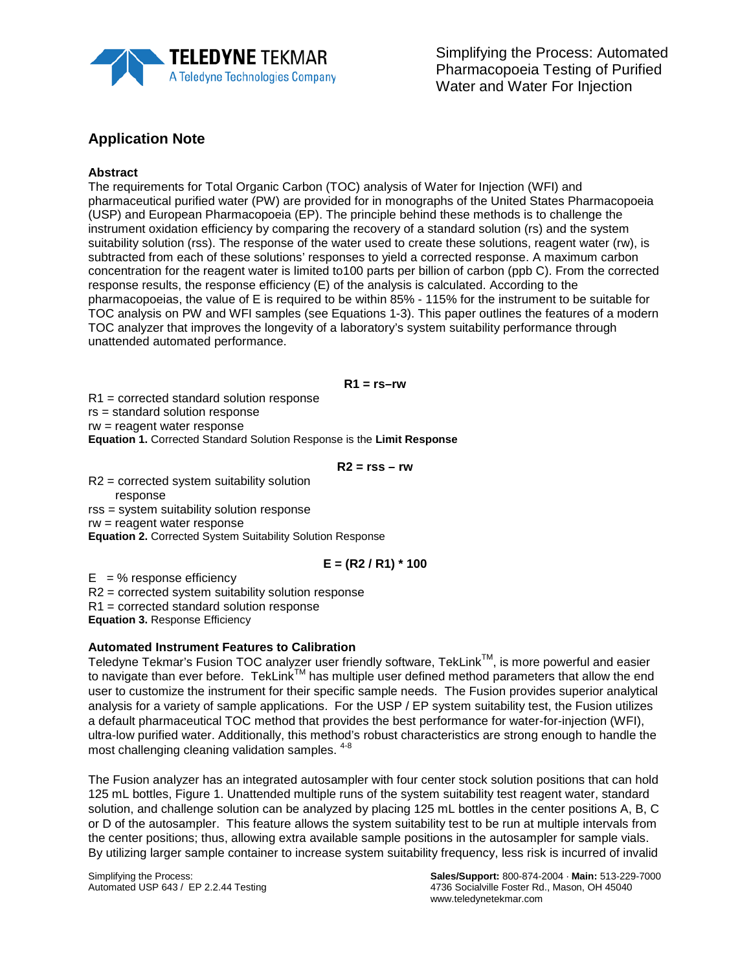

# **Application Note**

### **Abstract**

The requirements for Total Organic Carbon (TOC) analysis of Water for Injection (WFI) and pharmaceutical purified water (PW) are provided for in monographs of the United States Pharmacopoeia (USP) and European Pharmacopoeia (EP). The principle behind these methods is to challenge the instrument oxidation efficiency by comparing the recovery of a standard solution (rs) and the system suitability solution (rss). The response of the water used to create these solutions, reagent water (rw), is subtracted from each of these solutions' responses to yield a corrected response. A maximum carbon concentration for the reagent water is limited to100 parts per billion of carbon (ppb C). From the corrected response results, the response efficiency (E) of the analysis is calculated. According to the pharmacopoeias, the value of E is required to be within 85% - 115% for the instrument to be suitable for TOC analysis on PW and WFI samples (see Equations 1-3). This paper outlines the features of a modern TOC analyzer that improves the longevity of a laboratory's system suitability performance through unattended automated performance.

#### **R1 = rs–rw**

R1 = corrected standard solution response

rs = standard solution response

rw = reagent water response

**Equation 1.** Corrected Standard Solution Response is the **Limit Response**

**R2 = rss – rw**

R2 = corrected system suitability solution response rss = system suitability solution response rw = reagent water response

**Equation 2.** Corrected System Suitability Solution Response

## **E = (R2 / R1) \* 100**

 $E = %$  response efficiency R2 = corrected system suitability solution response

R1 = corrected standard solution response

**Equation 3.** Response Efficiency

## **Automated Instrument Features to Calibration**

Teledyne Tekmar's Fusion TOC analyzer user friendly software, TekLink<sup>TM</sup>, is more powerful and easier to navigate than ever before. TekLink<sup>TM</sup> has multiple user defined method parameters that allow the end user to customize the instrument for their specific sample needs. The Fusion provides superior analytical analysis for a variety of sample applications. For the USP / EP system suitability test, the Fusion utilizes a default pharmaceutical TOC method that provides the best performance for water-for-injection (WFI), ultra-low purified water. Additionally, this method's robust characteristics are strong enough to handle the most challenging cleaning validation samples. 4-8

The Fusion analyzer has an integrated autosampler with four center stock solution positions that can hold 125 mL bottles, Figure 1. Unattended multiple runs of the system suitability test reagent water, standard solution, and challenge solution can be analyzed by placing 125 mL bottles in the center positions A, B, C or D of the autosampler. This feature allows the system suitability test to be run at multiple intervals from the center positions; thus, allowing extra available sample positions in the autosampler for sample vials. By utilizing larger sample container to increase system suitability frequency, less risk is incurred of invalid

Simplifying the Process: **Sales/Support:** 800-874-2004 · **Main:** 513-229-7000 4736 Socialville Foster Rd., Mason, OH 45040 www.teledynetekmar.com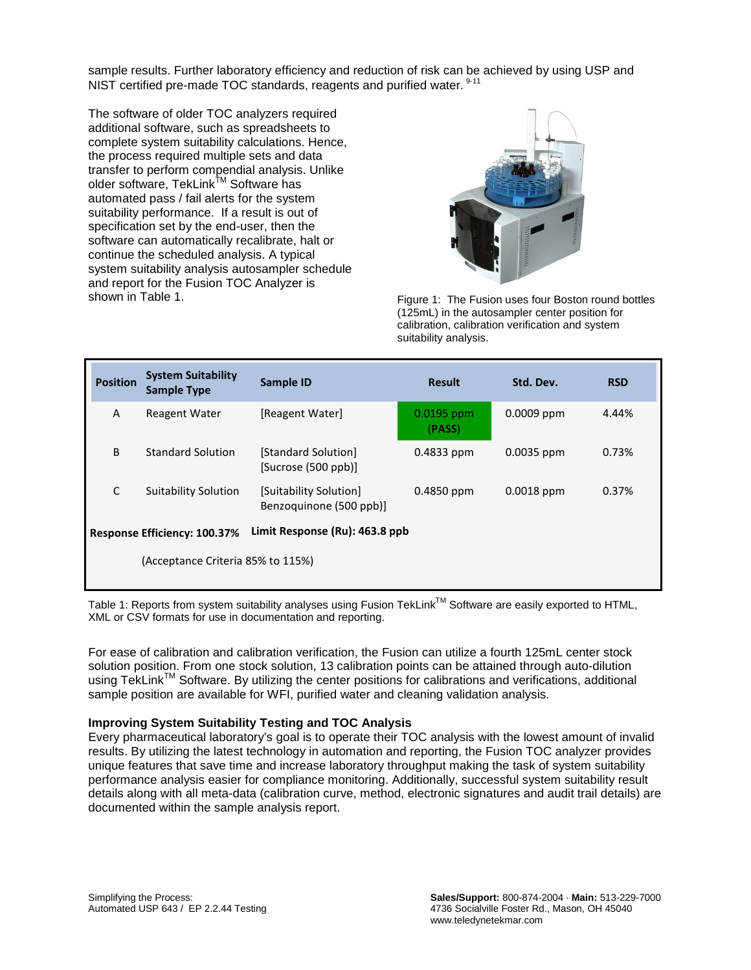sample results. Further laboratory efficiency and reduction of risk can be achieved by using USP and NIST certified pre-made TOC standards, reagents and purified water. <sup>9-11</sup>

The software of older TOC analyzers required additional software, such as spreadsheets to complete system suitability calculations. Hence, the process required multiple sets and data transfer to perform compendial analysis. Unlike older software, TekLink™ Software has automated pass / fail alerts for the system suitability performance. If a result is out of specification set by the end-user, then the software can automatically recalibrate, halt or continue the scheduled analysis. A typical system suitability analysis autosampler schedule and report for the Fusion TOC Analyzer is<br>shown in Table 1.



Figure 1: The Fusion uses four Boston round bottles (125mL) in the autosampler center position for calibration, calibration verification and system suitability analysis.

| <b>Position</b>                                                       | <b>System Suitability</b><br><b>Sample Type</b> | Sample ID                                         | <b>Result</b>          | Std. Dev.    | <b>RSD</b> |
|-----------------------------------------------------------------------|-------------------------------------------------|---------------------------------------------------|------------------------|--------------|------------|
| A                                                                     | <b>Reagent Water</b>                            | [Reagent Water]                                   | $0.0195$ ppm<br>(PASS) | $0.0009$ ppm | 4.44%      |
| B                                                                     | <b>Standard Solution</b>                        | [Standard Solution]<br>[Sucrose (500 ppb)]        | $0.4833$ ppm           | $0.0035$ ppm | 0.73%      |
| C                                                                     | <b>Suitability Solution</b>                     | [Suitability Solution]<br>Benzoguinone (500 ppb)] | $0.4850$ ppm           | $0.0018$ ppm | 0.37%      |
| Limit Response (Ru): 463.8 ppb<br><b>Response Efficiency: 100.37%</b> |                                                 |                                                   |                        |              |            |
| (Acceptance Criteria 85% to 115%)                                     |                                                 |                                                   |                        |              |            |

Table 1: Reports from system suitability analyses using Fusion TekLink™ Software are easily exported to HTML, XML or CSV formats for use in documentation and reporting.

For ease of calibration and calibration verification, the Fusion can utilize a fourth 125mL center stock solution position. From one stock solution, 13 calibration points can be attained through auto-dilution using TekLink™ Software. By utilizing the center positions for calibrations and verifications, additional sample position are available for WFI, purified water and cleaning validation analysis.

#### **Improving System Suitability Testing and TOC Analysis**

Every pharmaceutical laboratory's goal is to operate their TOC analysis with the lowest amount of invalid results. By utilizing the latest technology in automation and reporting, the Fusion TOC analyzer provides unique features that save time and increase laboratory throughput making the task of system suitability performance analysis easier for compliance monitoring. Additionally, successful system suitability result details along with all meta-data (calibration curve, method, electronic signatures and audit trail details) are documented within the sample analysis report.